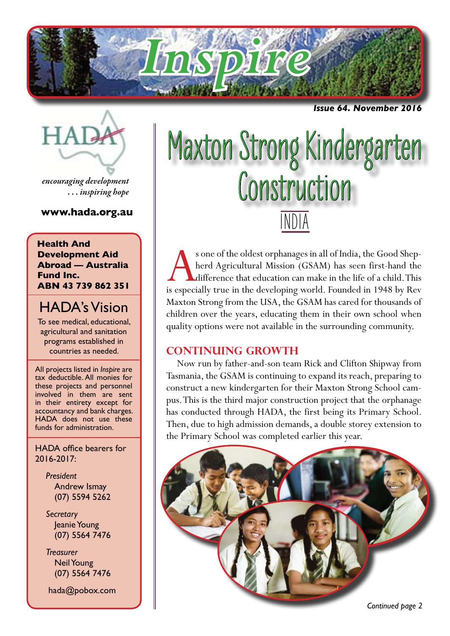

*Issue 64. November 2016*



*encouraging development . . . inspiring hope*

**www.hada.org.au**

**Health And Development Aid Abroad — Australia Fund Inc. ABN 43 739 862 351**

## HADA's Vision

To see medical, educational, agricultural and sanitation programs established in countries as needed.

All projects listed in *Inspire* are tax deductible. All monies for these projects and personnel involved in them are sent in their entirety except for accountancy and bank charges. HADA does not use these funds for administration.

HADA office bearers for 2016-2017:

> *President* Andrew Ismay (07) 5594 5262

> *Secretary* Jeanie Young (07) 5564 7476

> *Treasurer* Neil Young (07) 5564 7476

hada@pobox.com

# INDIA Maxton Strong Kindergarten Construction

s one of the oldest orphanages in all of India, the Good Shepherd Agricultural Mission (GSAM) has seen first-hand the difference that education can make in the life of a child. This is especially true in the developing world. Founded in 1948 by Rev Maxton Strong from the USA, the GSAM has cared for thousands of children over the years, educating them in their own school when quality options were not available in the surrounding community.

## **CONTINUING GROWTH**

Now run by father-and-son team Rick and Clifton Shipway from Tasmania, the GSAM is continuing to expand its reach, preparing to construct a new kindergarten for their Maxton Strong School campus. This is the third major construction project that the orphanage has conducted through HADA, the first being its Primary School. Then, due to high admission demands, a double storey extension to the Primary School was completed earlier this year.

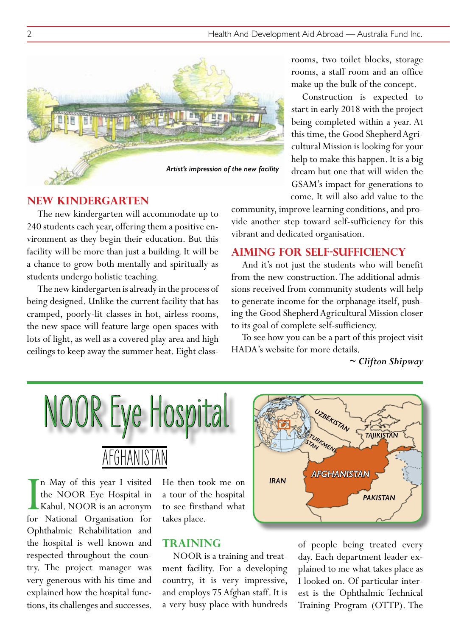

#### rooms, two toilet blocks, storage rooms, a staff room and an office make up the bulk of the concept.

Construction is expected to start in early 2018 with the project being completed within a year. At this time, the Good Shepherd Agricultural Mission is looking for your help to make this happen. It is a big dream but one that will widen the GSAM's impact for generations to come. It will also add value to the

#### **NEW KINDERGARTEN**

The new kindergarten will accommodate up to 240 students each year, offering them a positive environment as they begin their education. But this facility will be more than just a building. It will be a chance to grow both mentally and spiritually as students undergo holistic teaching.

The new kindergarten is already in the process of being designed. Unlike the current facility that has cramped, poorly-lit classes in hot, airless rooms, the new space will feature large open spaces with lots of light, as well as a covered play area and high ceilings to keep away the summer heat. Eight classcommunity, improve learning conditions, and provide another step toward self-sufficiency for this vibrant and dedicated organisation.

#### **AIMING FOR SELF-SUFFICIENCY**

And it's not just the students who will benefit from the new construction. The additional admissions received from community students will help to generate income for the orphanage itself, pushing the Good Shepherd Agricultural Mission closer to its goal of complete self-sufficiency.

To see how you can be a part of this project visit HADA's website for more details.

*~ Clifton Shipway*



In May of this year I visited<br>the NOOR Eye Hospital in<br>Kabul. NOOR is an acronym<br>for National Organisation for n May of this year I visited the NOOR Eye Hospital in Kabul. NOOR is an acronym Ophthalmic Rehabilitation and the hospital is well known and respected throughout the country. The project manager was very generous with his time and explained how the hospital functions, its challenges and successes.

He then took me on a tour of the hospital to see firsthand what takes place.

#### **TRAINING**

NOOR is a training and treatment facility. For a developing country, it is very impressive, and employs 75 Afghan staff. It is a very busy place with hundreds



of people being treated every day. Each department leader explained to me what takes place as I looked on. Of particular interest is the Ophthalmic Technical Training Program (OTTP). The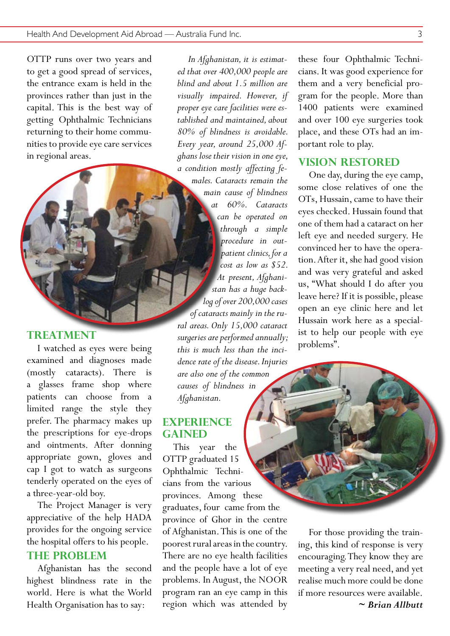OTTP runs over two years and to get a good spread of services, the entrance exam is held in the provinces rather than just in the capital. This is the best way of getting Ophthalmic Technicians returning to their home communities to provide eye care services in regional areas.

## **TREATMENT**

I watched as eyes were being examined and diagnoses made (mostly cataracts). There is a glasses frame shop where patients can choose from a limited range the style they prefer. The pharmacy makes up the prescriptions for eye-drops and ointments. After donning appropriate gown, gloves and cap I got to watch as surgeons tenderly operated on the eyes of a three-year-old boy.

The Project Manager is very appreciative of the help HADA provides for the ongoing service the hospital offers to his people.

#### **THE PROBLEM**

Afghanistan has the second highest blindness rate in the world. Here is what the World Health Organisation has to say:

*ed that over 400,000 people are blind and about 1.5 million are visually impaired. However, if proper eye care facilities were established and maintained, about 80% of blindness is avoidable. Every year, around 25,000 Afghans lose their vision in one eye, a condition mostly affecting females. Cataracts remain the main cause of blindness at 60%. Cataracts can be operated on through a simple procedure in outpatient clinics, for a cost as low as \$52. At present, Afghanistan has a huge backlog of over 200,000 cases of cataracts mainly in the rural areas. Only 15,000 cataract surgeries are performed annually; this is much less than the incidence rate of the disease. Injuries are also one of the common causes of blindness in Afghanistan.*

*In Afghanistan, it is estimat-*

#### **EXPERIENCE GAINED**

This year the OTTP graduated 15 Ophthalmic Technicians from the various provinces. Among these graduates, four came from the province of Ghor in the centre of Afghanistan. This is one of the poorest rural areas in the country. There are no eye health facilities and the people have a lot of eye problems. In August, the NOOR program ran an eye camp in this region which was attended by

these four Ophthalmic Technicians. It was good experience for them and a very beneficial program for the people. More than 1400 patients were examined and over 100 eye surgeries took place, and these OTs had an important role to play.

#### **VISION RESTORED**

One day, during the eye camp, some close relatives of one the OTs, Hussain, came to have their eyes checked. Hussain found that one of them had a cataract on her left eye and needed surgery. He convinced her to have the operation. After it, she had good vision and was very grateful and asked us, "What should I do after you leave here? If it is possible, please open an eye clinic here and let Hussain work here as a specialist to help our people with eye problems".

For those providing the training, this kind of response is very encouraging. They know they are meeting a very real need, and yet realise much more could be done if more resources were available.

*~ Brian Allbutt*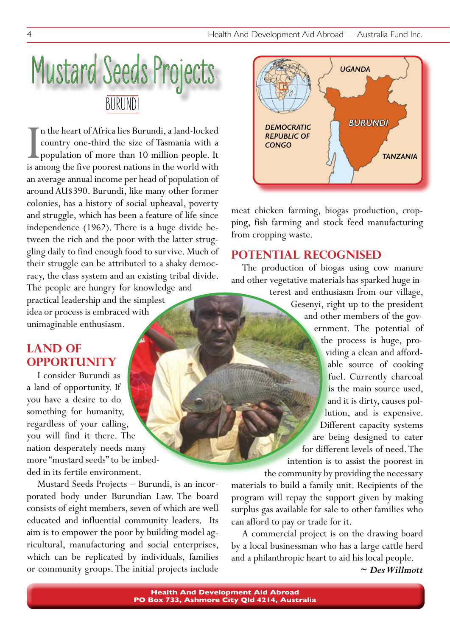## Mustard Seeds Projects BURUNDI

In the heart of Africa lies Burundi, a land-locked<br>country one-third the size of Tasmania with a<br>population of more than 10 million people. It<br>is among the five poorest nations in the world with n the heart of Africa lies Burundi, a land-locked country one-third the size of Tasmania with a population of more than 10 million people. It an average annual income per head of population of around AU\$390. Burundi, like many other former colonies, has a history of social upheaval, poverty and struggle, which has been a feature of life since independence (1962). There is a huge divide between the rich and the poor with the latter struggling daily to find enough food to survive. Much of their struggle can be attributed to a shaky democracy, the class system and an existing tribal divide. The people are hungry for knowledge and practical leadership and the simplest idea or process is embraced with

unimaginable enthusiasm.

## **LAND OF OPPORTUNITY**

I consider Burundi as a land of opportunity. If you have a desire to do something for humanity, regardless of your calling, you will find it there. The nation desperately needs many more "mustard seeds" to be imbedded in its fertile environment.

Mustard Seeds Projects – Burundi, is an incorporated body under Burundian Law. The board consists of eight members, seven of which are well educated and influential community leaders. Its aim is to empower the poor by building model agricultural, manufacturing and social enterprises, which can be replicated by individuals, families or community groups. The initial projects include



meat chicken farming, biogas production, cropping, fish farming and stock feed manufacturing from cropping waste.

## **POTENTIAL RECOGNISED**

The production of biogas using cow manure and other vegetative materials has sparked huge in-

> terest and enthusiasm from our village, Gesenyi, right up to the president and other members of the government. The potential of the process is huge, providing a clean and affordable source of cooking fuel. Currently charcoal is the main source used, and it is dirty, causes pollution, and is expensive. Different capacity systems are being designed to cater for different levels of need. The intention is to assist the poorest in

the community by providing the necessary materials to build a family unit. Recipients of the program will repay the support given by making surplus gas available for sale to other families who can afford to pay or trade for it.

A commercial project is on the drawing board by a local businessman who has a large cattle herd and a philanthropic heart to aid his local people.

*~ Des Willmott*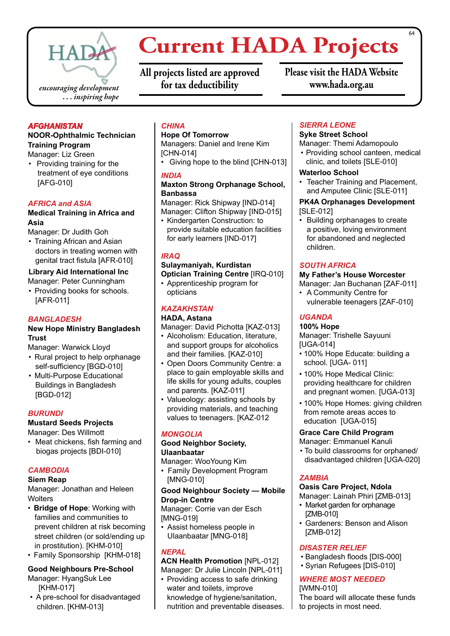

## **Current HADA Projects**

**All projects listed are approved for tax deductibility**

**Please visit the HADA Website www.hada.org.au**

#### *AFGHANISTAN*

#### **NOOR-Ophthalmic Technician Training Program**

Manager: Liz Green

• Providing training for the treatment of eye conditions [AFG-010]

#### *AFRICA and ASIA*

#### **Medical Training in Africa and Asia**

Manager: Dr Judith Goh

• Training African and Asian doctors in treating women with genital tract fistula [AFR-010]

#### **Library Aid International Inc**

Manager: Peter Cunningham

• Providing books for schools. [AFR-011]

#### *BANGLADESH*

#### **New Hope Ministry Bangladesh Trust**

Manager: Warwick Lloyd

- Rural project to help orphanage self-sufficiency [BGD-010]
- Multi-Purpose Educational Buildings in Bangladesh [BGD-012]

#### *BURUNDI*

**Mustard Seeds Projects**

- Manager: Des Willmott • Meat chickens, fish farming and
- biogas projects [BDI-010]

#### *CAMBODIA*

#### **Siem Reap**

Manager: Jonathan and Heleen **Wolters** 

- • **Bridge of Hope**: Working with families and communities to prevent children at risk becoming street children (or sold/ending up in prostitution). [KHM-010]
- Family Sponsorship [KHM-018]

#### **Good Neighbours Pre-School** Manager: HyangSuk Lee [KHM-017]

• A pre-school for disadvantaged children. [KHM-013]

#### *CHINA*

#### **Hope Of Tomorrow**

Managers: Daniel and Irene Kim [CHN-014]

• Giving hope to the blind [CHN-013]

#### *INDIA*

#### **Maxton Strong Orphanage School, Banbassa**

Manager: Rick Shipway [IND-014] Manager: Clifton Shipway [IND-015]

• Kindergarten Construction: to provide suitable education facilities for early learners [IND-017]

#### *IRAQ*

#### **Sulaymaniyah, Kurdistan Optician Training Centre** [IRQ-010]

• Apprenticeship program for opticians

#### *KAZAKHSTAN*

#### **HADA, Astana**

Manager: David Pichotta [KAZ-013]

- Alcoholism: Education, literature, and support groups for alcoholics and their families. [KAZ-010]
- Open Doors Community Centre: a place to gain employable skills and life skills for young adults, couples and parents. [KAZ-011]
- Valueology: assisting schools by providing materials, and teaching values to teenagers. [KAZ-012

#### *MONGOLIA*

#### **Good Neighbor Society, Ulaanbaatar**

Manager: WooYoung Kim

• Family Development Program [MNG-010]

**Good Neighbour Society — Mobile Drop-in Centre**

Manager: Corrie van der Esch [MNG-019]

• Assist homeless people in Ulaanbaatar [MNG-018]

#### *NEPAL*

**ACN Health Promotion** [NPL-012] Manager: Dr Julie Lincoln [NPL-011]

• Providing access to safe drinking water and toilets, improve knowledge of hygiene/sanitation, nutrition and preventable diseases.

#### *SIERRA LEONE*

#### **Syke Street School**

Manager: Themi Adamopoulo

• Providing school canteen, medical clinic, and toilets [SLE-010]

#### **Waterloo School**

• Teacher Training and Placement, and Amputee Clinic [SLE-011]

#### **PK4A Orphanages Development**  [SLE-012]

Building orphanages to create a positive, loving environment for abandoned and neglected children.

#### *SOUTH AFRICA*

#### **My Father's House Worcester**

Manager: Jan Buchanan [ZAF-011]

• A Community Centre for vulnerable teenagers [ZAF-010]

#### *UGANDA*

#### **100% Hope**

Manager: Trishelle Sayuuni [UGA-014]

- 100% Hope Educate: building a school. [UGA- 011]
- 100% Hope Medical Clinic: providing healthcare for children and pregnant women. [UGA-013]
- 100% Hope Homes: giving children from remote areas acces to education [UGA-015]

#### **Grace Care Child Program**

Manager: Emmanuel Kanuli

• To build classrooms for orphaned/ disadvantaged children [UGA-020]

#### *ZAMBIA*

#### **Oasis Care Project, Ndola**

Manager: Lainah Phiri [ZMB-013]

- Market garden for orphanage [ZMB-010]
- Gardeners: Benson and Alison [ZMB-012]

#### *DISASTER RELIEF*

- • Bangladesh floods [DIS-000]
- • Syrian Refugees [DIS-010]

#### *WHERE MOST NEEDED*

[WMN-010] The board will allocate these funds to projects in most need.